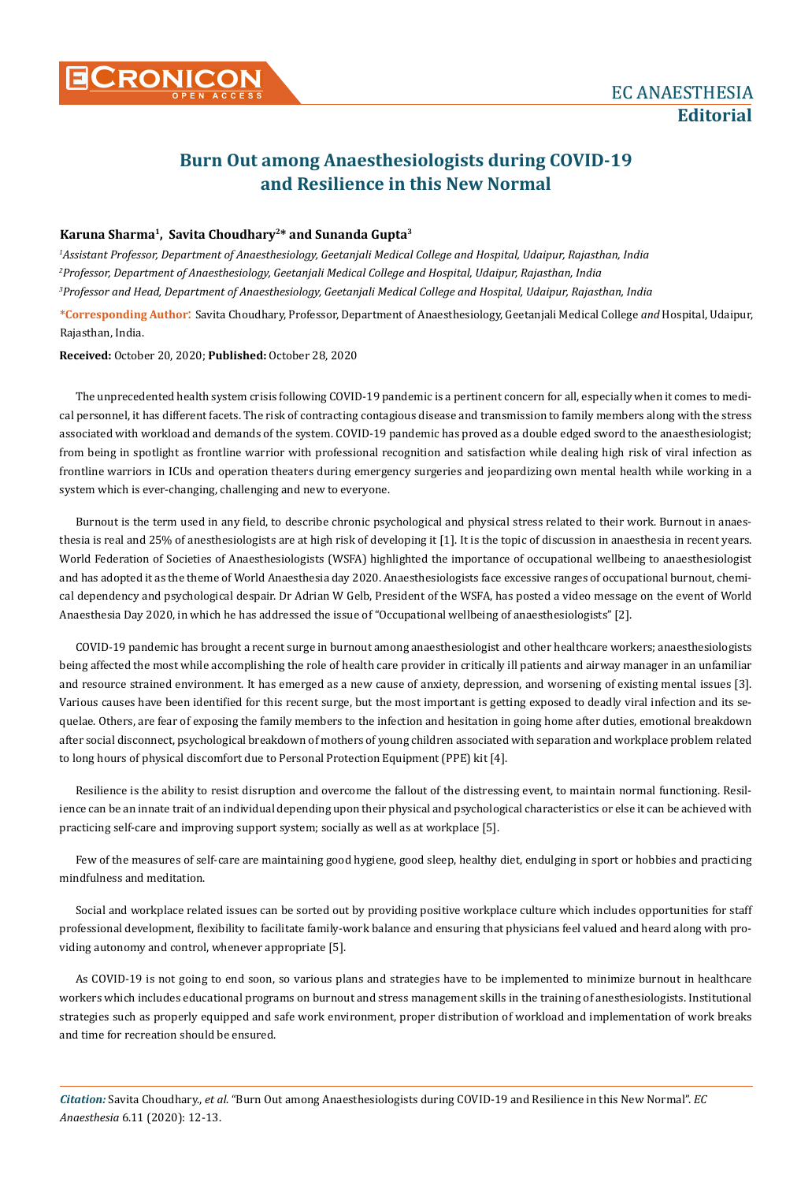## **Burn Out among Anaesthesiologists during COVID-19 and Resilience in this New Normal**

## **Karuna Sharma1, Savita Choudhary2\* and Sunanda Gupta3**

*1 Assistant Professor, Department of Anaesthesiology, Geetanjali Medical College and Hospital, Udaipur, Rajasthan, India 2 Professor, Department of Anaesthesiology, Geetanjali Medical College and Hospital, Udaipur, Rajasthan, India 3 Professor and Head, Department of Anaesthesiology, Geetanjali Medical College and Hospital, Udaipur, Rajasthan, India* **\*Corresponding Author**: Savita Choudhary, Professor, Department of Anaesthesiology, Geetanjali Medical College *and* Hospital, Udaipur, Rajasthan, India.

**Received:** October 20, 2020; **Published:** October 28, 2020

The unprecedented health system crisis following COVID-19 pandemic is a pertinent concern for all, especially when it comes to medical personnel, it has different facets. The risk of contracting contagious disease and transmission to family members along with the stress associated with workload and demands of the system. COVID-19 pandemic has proved as a double edged sword to the anaesthesiologist; from being in spotlight as frontline warrior with professional recognition and satisfaction while dealing high risk of viral infection as frontline warriors in ICUs and operation theaters during emergency surgeries and jeopardizing own mental health while working in a system which is ever-changing, challenging and new to everyone.

Burnout is the term used in any field, to describe chronic psychological and physical stress related to their work. Burnout in anaesthesia is real and 25% of anesthesiologists are at high risk of developing it [1]. It is the topic of discussion in anaesthesia in recent years. World Federation of Societies of Anaesthesiologists (WSFA) highlighted the importance of occupational wellbeing to anaesthesiologist and has adopted it as the theme of World Anaesthesia day 2020. Anaesthesiologists face excessive ranges of occupational burnout, chemical dependency and psychological despair. Dr Adrian W Gelb, President of the WSFA, has posted a video message on the event of World Anaesthesia Day 2020, in which he has addressed the issue of "Occupational wellbeing of anaesthesiologists" [2].

COVID-19 pandemic has brought a recent surge in burnout among anaesthesiologist and other healthcare workers; anaesthesiologists being affected the most while accomplishing the role of health care provider in critically ill patients and airway manager in an unfamiliar and resource strained environment. It has emerged as a new cause of anxiety, depression, and worsening of existing mental issues [3]. Various causes have been identified for this recent surge, but the most important is getting exposed to deadly viral infection and its sequelae. Others, are fear of exposing the family members to the infection and hesitation in going home after duties, emotional breakdown after social disconnect, psychological breakdown of mothers of young children associated with separation and workplace problem related to long hours of physical discomfort due to Personal Protection Equipment (PPE) kit [4].

Resilience is the ability to resist disruption and overcome the fallout of the distressing event, to maintain normal functioning. Resilience can be an innate trait of an individual depending upon their physical and psychological characteristics or else it can be achieved with practicing self-care and improving support system; socially as well as at workplace [5].

Few of the measures of self-care are maintaining good hygiene, good sleep, healthy diet, endulging in sport or hobbies and practicing mindfulness and meditation.

Social and workplace related issues can be sorted out by providing positive workplace culture which includes opportunities for staff professional development, flexibility to facilitate family-work balance and ensuring that physicians feel valued and heard along with providing autonomy and control, whenever appropriate [5].

As COVID-19 is not going to end soon, so various plans and strategies have to be implemented to minimize burnout in healthcare workers which includes educational programs on burnout and stress management skills in the training of anesthesiologists. Institutional strategies such as properly equipped and safe work environment, proper distribution of workload and implementation of work breaks and time for recreation should be ensured.

*Citation:* Savita Choudhary., *et al*. "Burn Out among Anaesthesiologists during COVID-19 and Resilience in this New Normal". *EC Anaesthesia* 6.11 (2020): 12-13.